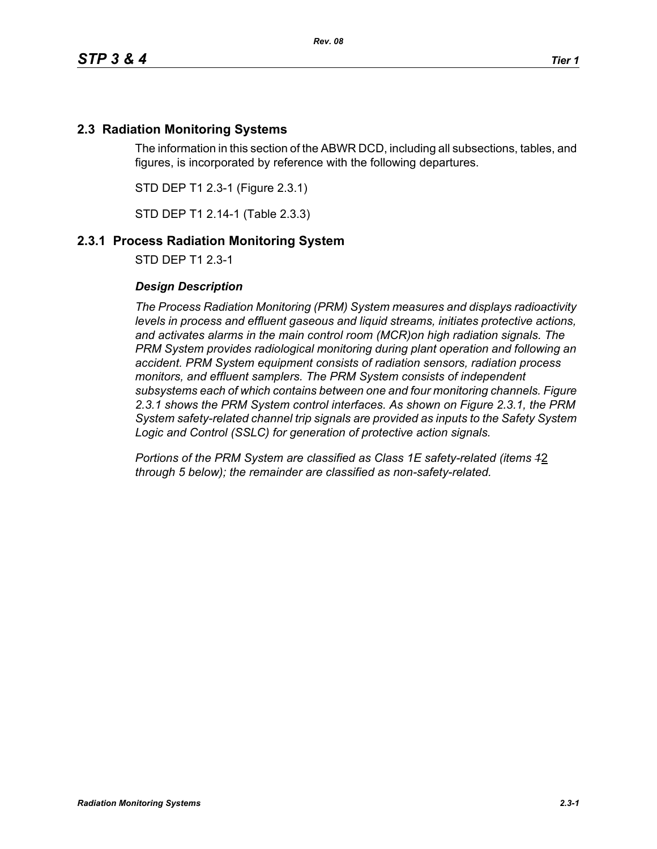# **2.3 Radiation Monitoring Systems**

The information in this section of the ABWR DCD, including all subsections, tables, and figures, is incorporated by reference with the following departures.

STD DEP T1 2.3-1 (Figure 2.3.1)

STD DEP T1 2.14-1 (Table 2.3.3)

## **2.3.1 Process Radiation Monitoring System**

STD DEP T1 2.3-1

### *Design Description*

*The Process Radiation Monitoring (PRM) System measures and displays radioactivity levels in process and effluent gaseous and liquid streams, initiates protective actions, and activates alarms in the main control room (MCR)on high radiation signals. The PRM System provides radiological monitoring during plant operation and following an accident. PRM System equipment consists of radiation sensors, radiation process monitors, and effluent samplers. The PRM System consists of independent subsystems each of which contains between one and four monitoring channels. Figure 2.3.1 shows the PRM System control interfaces. As shown on Figure 2.3.1, the PRM System safety-related channel trip signals are provided as inputs to the Safety System Logic and Control (SSLC) for generation of protective action signals.*

*Portions of the PRM System are classified as Class 1E safety-related (items 1*2 *through 5 below); the remainder are classified as non-safety-related.*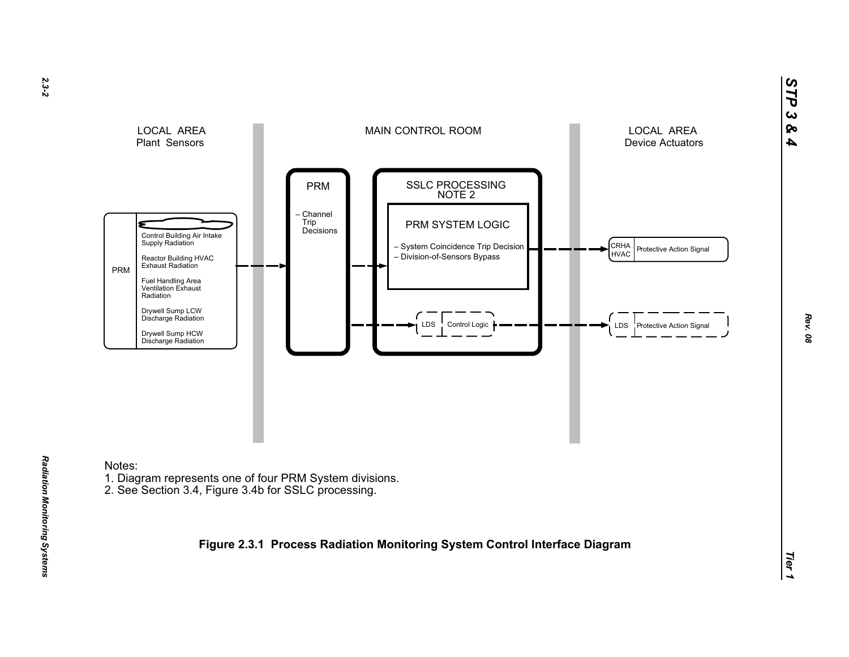

Notes:

*Radiation Monitoring Systems* 

Radiation Monitoring Systems

- 1. Diagram represents one of four PRM System divisions.
- 2. See Section 3.4, Figure 3.4b for SSLC processing.

**Figure 2.3.1 Process Radiation Monitoring System Control Interface Diagram**

*STP 3 & 4*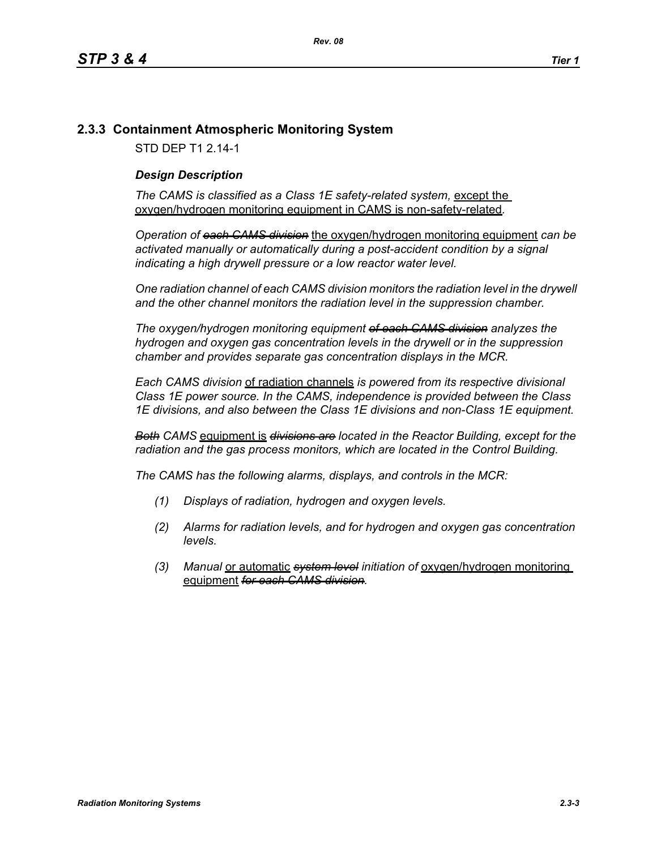# **2.3.3 Containment Atmospheric Monitoring System**

STD DEP T1 2.14-1

## *Design Description*

The CAMS is classified as a Class 1E safety-related system, except the oxygen/hydrogen monitoring equipment in CAMS is non-safety-related*.*

*Operation of each CAMS division* the oxygen/hydrogen monitoring equipment *can be*  activated manually or automatically during a post-accident condition by a signal *indicating a high drywell pressure or a low reactor water level.* 

*One radiation channel of each CAMS division monitors the radiation level in the drywell and the other channel monitors the radiation level in the suppression chamber.*

*The oxygen/hydrogen monitoring equipment of each CAMS division analyzes the hydrogen and oxygen gas concentration levels in the drywell or in the suppression chamber and provides separate gas concentration displays in the MCR.*

*Each CAMS division* of radiation channels *is powered from its respective divisional Class 1E power source. In the CAMS, independence is provided between the Class 1E divisions, and also between the Class 1E divisions and non-Class 1E equipment.*

*Both CAMS* equipment is *divisions are located in the Reactor Building, except for the radiation and the gas process monitors, which are located in the Control Building.*

*The CAMS has the following alarms, displays, and controls in the MCR:*

- *(1) Displays of radiation, hydrogen and oxygen levels.*
- *(2) Alarms for radiation levels, and for hydrogen and oxygen gas concentration levels.*
- *(3) Manual* or automatic *system level initiation of* oxygen/hydrogen monitoring equipment *for each CAMS division.*